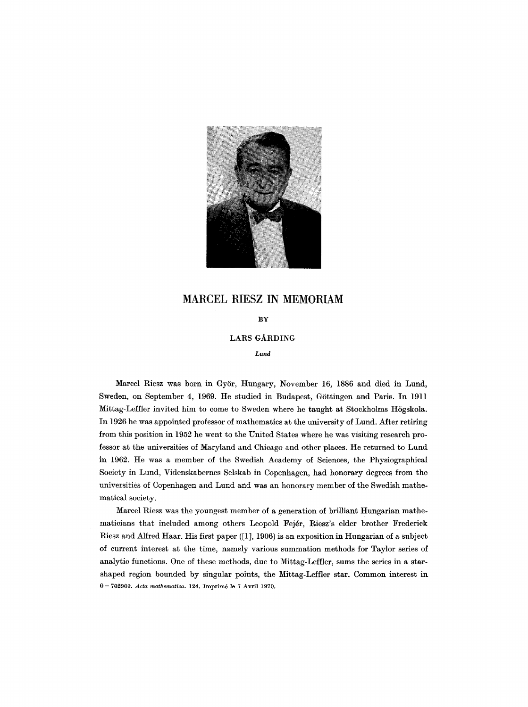

# **MARCEL RIESZ IN MEMORIAM**

## **BY**

## LARS GARDING

*Lund* 

Marcel Riesz was born in Györ, Hungary, November 16, 1886 and died in Lund, Sweden, on September 4, 1969. He studied in Budapest, Göttingen and Paris. In 1911 Mittag-Leffler invited him to come to Sweden where he taught at Stockholms Högskola. In 1926 he was appointed professor of mathematics at the university of Lund. After retiring from this position in 1952 he went to the United States where he was visiting research professor at the universities of MaryIand and Chicago and other places. He returned to Lund in 1962. He was a member of the Swedish Academy of Sciences, the Physiographical Society in Lund, Videnskabernes Selskab in Copenhagen, had honorary degrees from the universities of Copenhagen and Lund and was an honorary member of the Swedish mathematical society.

Marcel Riesz was the youngest member of a generation of brilliant Hungarian mathematicians that included among others Leopold Fejdr, Riesz's elder brother Frederick Riesz and Alfred Haar. His first paper ([1], 1906) is an exposition in Hungarian of a subject of current interest at the time, namely various summation methods for Taylor series of analytic functions. One of these methods, due to Mittag-Leffler, sums the series in a starshaped region bounded by singular points, the Mittag-Leffler star. Common interest in 0 - 702909. *Acta mathematioa.* 124. Imprimé le 7 Avril 1970.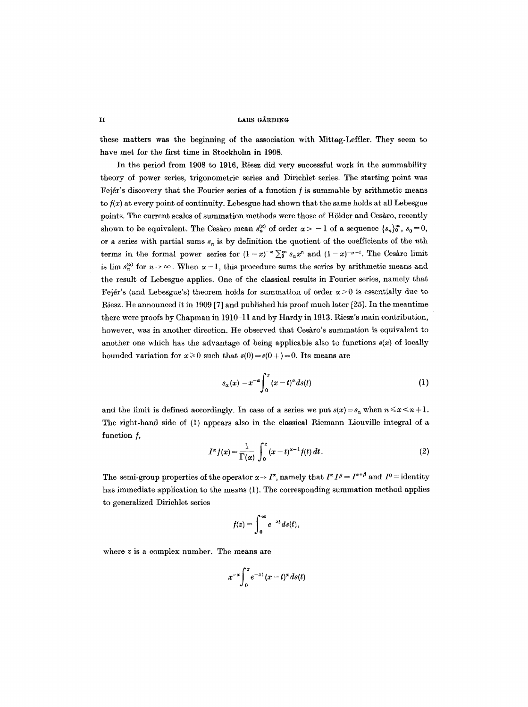### ii Lars Gårding

these matters was the beginning of the association with Mittag-Leffler. They seem to have met for the first time in Stockholm in 1908.

In the period from 1908 to 1916, Riesz did very successful work in the summability theory of power series, trigonometric series and Dirichlet series. The starting point was Fejér's discovery that the Fourier series of a function  $f$  is summable by arithmetic means to  $f(x)$  at every point of continuity. Lebesgue had shown that the same holds at all Lebesgue points. The current scales of summation methods were those of Hölder and Cesàro, recently shown to be equivalent. The Cesàro mean  $s_n^{(\alpha)}$  of order  $\alpha > -1$  of a sequence  $\{s_n\}_0^{\infty}$ ,  $s_0 = 0$ , or a series with partial sums  $s_n$  is by definition the quotient of the coefficients of the nth terms in the formal power series for  $(1-x)^{-\alpha} \sum_{n=0}^{\infty} s_n x^n$  and  $(1-x)^{-\alpha-1}$ . The Cesaro limit is lim  $s_n^{\omega}$  for  $n \to \infty$ . When  $\alpha = 1$ , this procedure sums the series by arithmetic means and the result of Lebesgue applies. One of the classical results in Fourier series, namely that Fejér's (and Lebesgue's) theorem holds for summation of order  $\alpha > 0$  is essentially due to Riesz. He announced it in 1909 [7] and published his proof much later [25]. In the meantime there were proofs by Chapman in 1910-11 and by Hardy in 1913. Riesz's main contribution, however, was in another direction. He observed that Cesàro's summation is equivalent to another one which has the advantage of being applicable also to functions  $s(x)$  of locally bounded variation for  $x \ge 0$  such that  $s(0) = s(0+) = 0$ . Its means are

$$
s_{\alpha}(x) = x^{-\alpha} \int_0^x (x-t)^{\alpha} ds(t)
$$
 (1)

and the limit is defined accordingly. In case of a series we put  $s(x) = s_n$  when  $n \le x \le n+1$ . The right-hand side of  $(1)$  appears also in the classical Riemann-Liouville integral of a function  $f$ ,

$$
I^{\alpha}f(x) = \frac{1}{\Gamma(\alpha)} \int_0^x (x-t)^{\alpha-1} f(t) dt.
$$
 (2)

The semi-group properties of the operator  $\alpha \to I^{\alpha}$ , namely that  $I^{\alpha} I^{\beta} = I^{\alpha+\beta}$  and  $I^0 =$  identity has immediate application to the means (1). The corresponding summation method applies to generalized Dirichlet series

$$
f(z)=\int_0^\infty e^{-zt}ds(t),
$$

where z is a complex number. The means are

$$
x^{-\alpha}\int_0^x e^{-zt}\,(x-t)^\alpha\,ds(t)
$$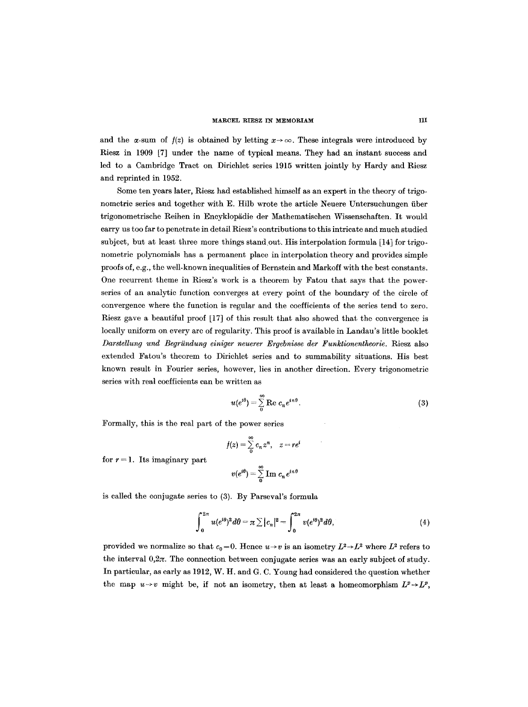#### MARCEL RIESZ IN MEMORIAM

and the  $\alpha$ -sum of  $f(z)$  is obtained by letting  $x \rightarrow \infty$ . These integrals were introduced by Riesz in 1909 [7] under the name of typical means. They had an instant success and led to a Cambridge Tract on Dirichlet series 1915 written jointly by Hardy and Riesz and reprinted in 1952.

Some ten years later, Riesz had established himself as an expert in the theory of trigonometric series and together with E. Hilb wrote the article Neuere Untersuchungen fiber trigonometrische Reihen in Encyklopädie der Mathematischen Wissenschaften. It would carry us too far to penetrate in detail Riesz's contributions to this intricate and much studied subject, but at least three more things stand out. His interpolation formula [14] for trigonometric polynomials has a permanent place in interpolation theory and provides simple proofs of, e.g., the well-known inequalities of Bernstein and Markoff with the best constants. One recurrent theme in Riesz's work is a theorem by Fatou that says that the powerseries of an analytic function converges at every point of the boundary of the circle of convergence where the function is regular and the coefficients of the series tend to zero. Riesz gave a beautiful proof [17] of this result that also showed that the convergence is locally uniform on every are of regularity. This proof is available in Landau's little booklet *Darstellung und Begriindung einiger neuerer Ergebnisse der Funktionentheorie.* Riesz also extended Fatou's theorem to Dirichlet series and to summability situations. His best known result in Fourier series, however, lies in another direction. Every trigonometric series with real coefficients can be written as

$$
u(e^{i\theta}) = \sum_{0}^{\infty} \text{Re } c_n e^{in\theta}.
$$
 (3)

Formally, this is the real part of the power series

$$
f(z) = \sum_{0}^{\infty} c_n z^n, \quad z = re^i
$$

$$
v(e^{i\theta}) = \sum_{n=1}^{\infty} \text{Im } c_n e^{in\theta}
$$

for  $r = 1$ . Its imaginary part

$$
v(e^{i\theta})=\sum_0^{\infty}\operatorname{Im}\,c_n\,e^{in\theta}
$$

is called the conjugate series to (3). By Parseval's formula

$$
\int_0^{2\pi} u(e^{i\theta})^2 d\theta = \pi \sum |c_n|^2 = \int_0^{2\pi} v(e^{i\theta})^2 d\theta, \tag{4}
$$

provided we normalize so that  $c_0 = 0$ . Hence  $u \rightarrow v$  is an isometry  $L^2 \rightarrow L^2$  where  $L^2$  refers to the interval  $0,2\pi$ . The connection between conjugate series was an early subject of study. In particular, as early as 1912, W. H. and G. C. Young had considered the question whether the map  $u \rightarrow v$  might be, if not an isometry, then at least a homeomorphism  $L^p \rightarrow L^p$ ,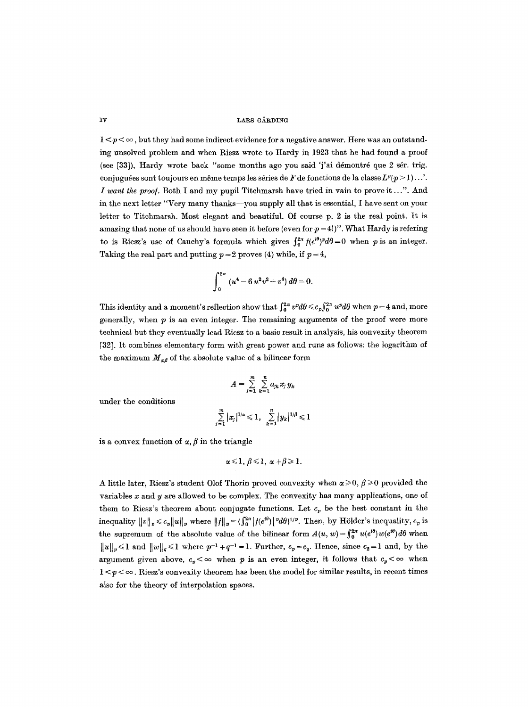IV LARS GÅRDING

 $1 < p < \infty$ , but they had some indirect evidence for a negative answer. Here was an outstanding unsolved problem and when Riesz wrote to Hardy in 1923 that he had found a proof (see  $[33]$ ), Hardy wrote back "some months ago you said 'j'ai démontré que 2 sér. trig. conjuguées sont toujours en même temps les séries de F de fonctions de la classe  $L^p(p > 1)...$ . *I want the proof.* Both I and my pupil Titchmarsh have tried in vain to prove it...". And in the next letter "Very many thanks--you supply all that is essential, I have sent on your letter to Titchmarsh. Most elegant and beautiful. Of course p. 2 is the real point. It is amazing that none of us should have seen it before (even for  $p = 4!$ )". What Hardy is refering to is Riesz's use of Cauchy's formula which gives  $\int_0^{2\pi} f(e^{i\theta})^p d\theta = 0$  when p is an integer. Taking the real part and putting  $p=2$  proves (4) while, if  $p=4$ ,

$$
\int_0^{2\pi} (u^4 - 6 u^2 v^2 + v^4) d\theta = 0.
$$

This identity and a moment's reflection show that  $\int_0^{2\pi} v^p d\theta \leq c_p \int_0^{2\pi} u^p d\theta$  when  $p = 4$  and, more generally, when  $p$  is an even integer. The remaining arguments of the proof were more technical but they eventually lead Riesz to a basic result in analysis, his convexity theorem [32]. It combines elementary form with great power and runs as follows: the logarithm of the maximum  $M_{\alpha\beta}$  of the absolute value of a bilinear form

$$
A=\sum_{j=1}^m\sum_{k=1}^n a_{jk}x_jy_k
$$

under the conditions

$$
\sum_{j=1}^m |x_j|^{1/\alpha} \leq 1, \quad \sum_{k=1}^n |y_k|^{1/\beta} \leq 1
$$

is a convex function of  $\alpha$ ,  $\beta$  in the triangle

$$
\alpha \leq 1, \beta \leq 1, \alpha + \beta \geq 1.
$$

A little later, Riesz's student Olof Thorin proved convexity when  $\alpha \geq 0$ ,  $\beta \geq 0$  provided the variables  $x$  and  $y$  are allowed to be complex. The convexity has many applications, one of them to Riesz's theorem about conjugate functions. Let  $c_p$  be the best constant in the inequality  $||v||_p \le c_p ||u||_p$  where  $||f||_p = (\int_0^{2\pi} |f(e^{i\theta})|^p d\theta)^{1/p}$ . Then, by Hölder's inequality,  $c_p$  is the supremum of the absolute value of the bilinear form  $A(u, w) = \int_0^{2\pi} u(e^{i\theta})w(e^{i\theta}) d\theta$  when  $||u||_p \leq 1$  and  $||w||_q \leq 1$  where  $p^{-1} + q^{-1} = 1$ . Further,  $c_p = c_q$ . Hence, since  $c_2 = 1$  and, by the argument given above,  $c_p < \infty$  when p is an even integer, it follows that  $c_p < \infty$  when  $1 < p < \infty$ . Riesz's convexity theorem has been the model for similar results, in recent times also for the theory of interpolation spaces.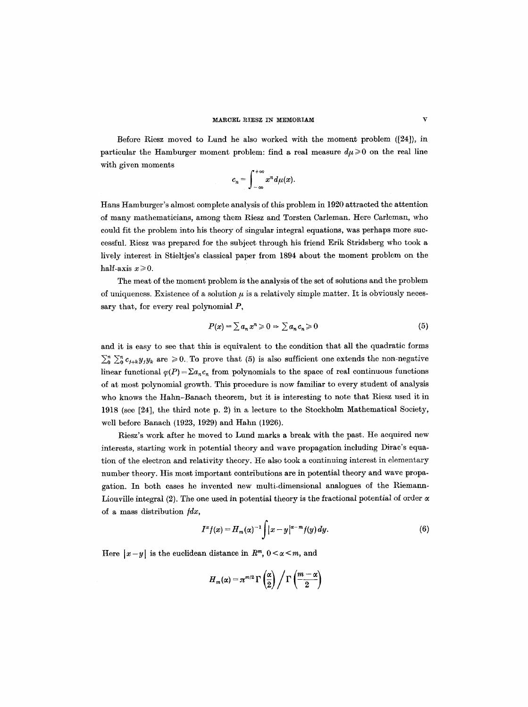#### MARCEL RIESZ IN MEMORIAM

Before Riesz moved to Lund he also worked with the moment problem ([24]), in particular the Hamburger moment problem: find a real measure  $d\mu \geqslant 0$  on the real line with given moments

$$
c_n=\int_{-\infty}^{+\infty}x^n d\mu(x).
$$

Hans Hamburger's almost complete analysis of this problem in 1920 attracted the attention of many mathematicians, among them Riesz and Torsten Carleman. Here Carleman, who could fit the problem into his theory of singular integral equations, was perhaps more successful. Riesz was prepared for the subject through his friend Erik Stridsberg who took a lively interest in Stieltjes's classical paper from 1894 about the moment problem on the half-axis  $x \ge 0$ .

The meat of the moment problem is the analysis of the set of solutions and the problem of uniqueness. Existence of a solution  $\mu$  is a relatively simple matter. It is obviously necessary that, for every real polynomial  $P$ ,

$$
P(x) = \sum a_n x^n \geqslant 0 \Rightarrow \sum a_n c_n \geqslant 0 \tag{5}
$$

and it is easy to see that this is equivalent to the condition that all the quadratic forms  $\sum_{i=0}^{n} C_{i+k} y_i y_k$  are  $\geq 0$ . To prove that (5) is also sufficient one extends the non-negative linear functional  $\varphi(P)=\sum a_nc_n$  from polynomials to the space of real continuous functions of at most polynomial growth. This procedure is now familiar to every student of analysis who knows the Hahn-Banach theorem, but it is interesting to note that Riesz used it in 1918 (see [24], the third note p. 2) in a lecture to the Stockholm Mathematical Society, well before Banach (1923, 1929) and Hahn (1926).

Riesz's work after he moved to Lund marks a break with the past. He acquired new interests, starting work in potential theory and wave propagation including Dirac's equation of the electron and relativity theory. He also took a continuing interest in elementary number theory. His most important contributions are in potential theory and wave propagation. In both cases he invented new multi-dimensional analogues of the Riemann-Liouville integral  $(2)$ . The one used in potential theory is the fractional potential of order  $\alpha$ of a mass distribution  $\hat{f}$ ,

$$
I^{\alpha}f(x) = H_m(\alpha)^{-1} \int |x-y|^{\alpha-m} f(y) dy.
$$
 (6)

Here  $|x-y|$  is the euclidean distance in  $R^m$ ,  $0 < \alpha < m$ , and

$$
H_m(\alpha) = \pi^{m/2} \Gamma\left(\frac{\alpha}{2}\right) / \Gamma\left(\frac{m-\alpha}{2}\right)
$$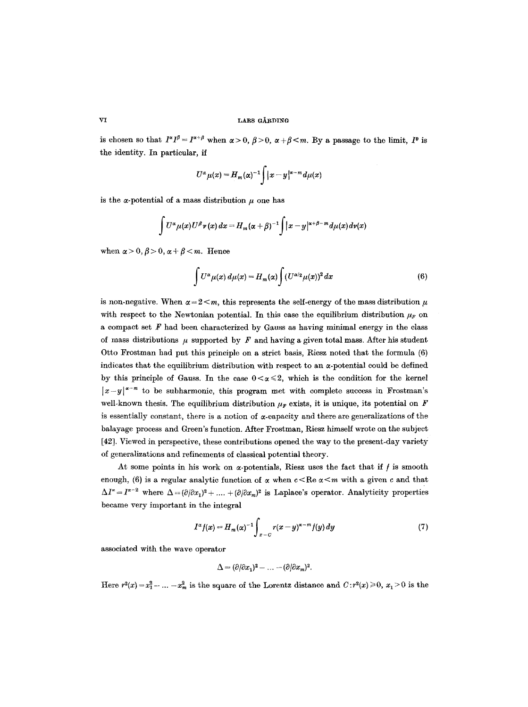is chosen so that  $I^{\alpha}I^{\beta} = I^{\alpha+\beta}$  when  $\alpha > 0$ ,  $\beta > 0$ ,  $\alpha + \beta < m$ . By a passage to the limit,  $I^0$  is the identity. In particular, if

$$
U^{\alpha} \mu(x) = H_m(\alpha)^{-1} \int |x-y|^{x-m} d\mu(x)
$$

is the  $\alpha$ -potential of a mass distribution  $\mu$  one has

$$
\int U^{\alpha} \mu(x) U^{\beta} \nu(x) dx = H_m(\alpha + \beta)^{-1} \int |x - y|^{\alpha + \beta - m} d\mu(x) d\nu(x)
$$

when  $\alpha > 0, \beta > 0, \alpha + \beta < m$ . Hence

$$
\int U^{\alpha} \mu(x) d\mu(x) = H_m(\alpha) \int (U^{\alpha/2} \mu(x))^2 dx \tag{6}
$$

is non-negative. When  $\alpha = 2 \le m$ , this represents the self-energy of the mass distribution  $\mu$ with respect to the Newtonian potential. In this case the equilibrium distribution  $\mu_F$  on a compact set  $\mathbf{F}$  had been characterized by Gauss as having minimal energy in the class of mass distributions  $\mu$  supported by F and having a given total mass. After his student Otto Frostman had put this principle on a strict basis, Riesz noted that the formula (6) indicates that the equilibrium distribution with respect to an  $\alpha$ -potential could be defined by this principle of Gauss. In the case  $0 < \alpha \leq 2$ , which is the condition for the kernel  $|x-y|^{x-m}$  to be subharmonic, this program met with complete success in Frostman's well-known thesis. The equilibrium distribution  $\mu_F$  exists, it is unique, its potential on F is essentially constant, there is a notion of  $\alpha$ -capacity and there are generalizations of the balayage process and Green's function. After Frostman, Riesz himself wrote on the subject [42]. Viewed in perspective, these contributions opened the way to the present-day variety of generalizations and refinements of classical potential theory.

At some points in his work on  $\alpha$ -potentials, Riesz uses the fact that if  $f$  is smooth enough, (6) is a regular analytic function of  $\alpha$  when  $c < \text{Re }\alpha < m$  with a given c and that  $\Delta I^{\alpha} = I^{\alpha-2}$  where  $\Delta = (\partial/\partial x_1)^2 + \ldots + (\partial/\partial x_m)^2$  is Laplace's operator. Analyticity properties became very important in the integral

$$
I^{\alpha}f(x) = H_m(\alpha)^{-1} \int_{x-c} r(x-y)^{\alpha-m} f(y) dy \qquad (7)
$$

associated with the wave operator

$$
\Delta = (\partial/\partial x_1)^2 - \ldots - (\partial/\partial x_m)^2.
$$

Here  $r^2(x)=x_1^2-\ldots-x_m^2$  is the square of the Lorentz distance and  $C: r^2(x)\geq 0$ ,  $x_1>0$  is the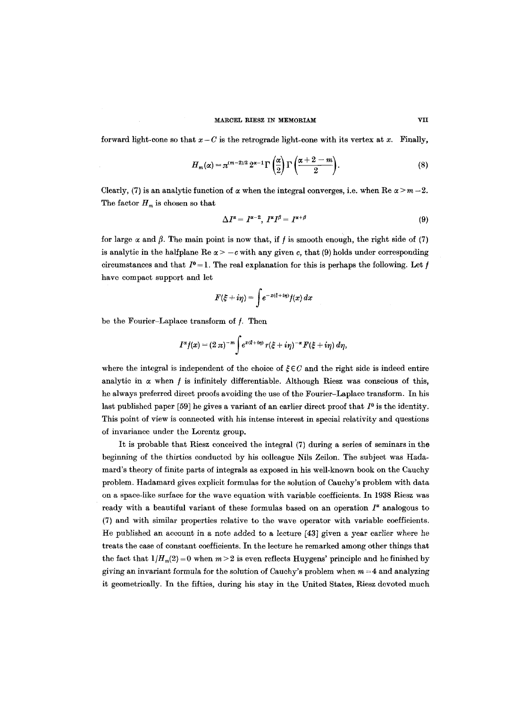#### MARCEL RIESZ IN MEMORIAM VII

forward light-cone so that  $x - C$  is the retrograde light-cone with its vertex at x. Finally,

$$
H_m(\alpha) = \pi^{(m-2)/2} 2^{\alpha-1} \Gamma\left(\frac{\alpha}{2}\right) \Gamma\left(\frac{\alpha+2-m}{2}\right). \tag{8}
$$

Clearly, (7) is an analytic function of  $\alpha$  when the integral converges, i.e. when Re  $\alpha > m - 2$ . The factor  $H_m$  is chosen so that

$$
\Delta I^{\alpha} = I^{\alpha-2}, I^{\alpha} I^{\beta} = I^{\alpha+\beta} \tag{9}
$$

for large  $\alpha$  and  $\beta$ . The main point is now that, if f is smooth enough, the right side of (7) is analytic in the halfplane Re  $\alpha > -c$  with any given c, that (9) holds under corresponding circumstances and that  $I^0 = 1$ . The real explanation for this is perhaps the following. Let f have compact support and let

$$
F(\xi+i\eta)=\int e^{-x(\xi+i\eta)}f(x)\,dx
$$

be the Fourier-Laplace transform of  $f$ . Then

$$
I^{\alpha}f(x)=(2\pi)^{-m}\int e^{x(\xi+i\eta)} r(\xi+i\eta)^{-\alpha} F(\xi+i\eta) d\eta,
$$

where the integral is independent of the choice of  $\zeta \in C$  and the right side is indeed entire analytic in  $\alpha$  when f is infinitely differentiable. Although Riesz was conscious of this, he always preferred direct proofs avoiding the use of the Fourier-Laplace transform. In his last published paper [59] he gives a variant of an earlier direct proof that  $I^0$  is the identity. This point of view is connected with his intense interest in special relativity and questions of invariance under the Lorentz group.

It is probable that Riesz conceived the integral (7) during a series of seminars in the beginning of the thirties conducted by his colleague Nils Zeilon. The subject was Hadamard's theory of finite parts of integrals as exposed in his well-known book on the Cauchy problem. Hadamard gives explicit formulas for the solution of Cauchy's problem with data on a space-like surface for the wave equation with variable coefficients. In 1938 Riesz was ready with a beautiful variant of these formulas based on an operation  $I^{\alpha}$  analogous to (7) and with similar properties relative to the wave operator with variable coefficients. He published an account in a note added to a lecture [43] given a year earlier where he treats the case of constant coefficients. In the lecture he remarked among other things that the fact that  $1/H_m(2)=0$  when  $m > 2$  is even reflects Huygens' principle and he finished by giving an invariant formula for the solution of Cauchy's problem when  $m = 4$  and analyzing it geometrically. In the fifties, during his stay in the United States, Riesz devoted much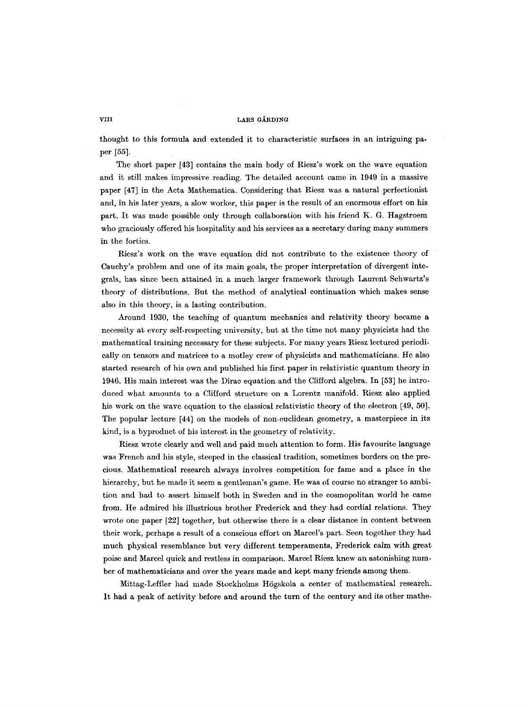#### VIII LARS GÅRDING

thought to this formula and extended it to characteristic surfaces in an intriguing paper [55].

The short paper [43] contains the main body of Riesz's work on the wave equation and it still makes impressive reading. The detailed account came in 1949 in a massive paper [47] in the Acta Mathematica. Considering that Riesz was a natural perfectionist and, in his later years, a slow worker, this paper is the result of an enormous effort on his part. It was made possible only through collaboration with his friend K. G. Hagstroem who graciously offered his hospitality and his services as a secretary during many summers in the forties.

Riesz's work on the wave equation did not contribute to the existence theory of Cauchy's problem and one of its main goals, the proper interpretation of divergent integrals, has since been attained in a much larger framework through Laurent Schwartz's theory of distributions. But the method of analytical continuation which makes sense also in this theory, is a lasting contribution.

Around 1930, the teaching of quantum mechanics and relativity theory became a necessity at every self-respecting university, but at the time not many physicists had the mathematical training necessary for these subjects. For many years Riesz lectured periodically on tensors and matrices to a motley crew of physicists and mathematicians. He also started research of his own and published his first paper in relativistic quantum theory in 1946. His main interest was the Dirac equation and the Clifford algebra. In [53] he introduced what amounts to a Clifford structure on a Lorentz manifold. Riesz also applied his work on the wave equation to the classical relativistic theory of the electron [49, 50]. The popular lecture [44] on the models of non-euclidean geometry, a masterpiece in its kind, is a byproduct of his interest in the geometry of relativity.

Riesz wrote clearly and well and paid much attention to form. His favourite language was French and his style, steeped in the classical tradition, sometimes borders on the precious. Mathematical research always involves competition for fame and a place in the hierarchy, but he made it seem a gentleman's game. He was of course no stranger to ambition and had to assert himself both in Sweden and in the cosmopolitan world he came from. He admired his illustrious brother Frederick and they had cordial relations. They wrote one paper [22] together, but otherwise there is a clear distance in content between their work, perhaps a result of a conscious effort on Marcel's part. Seen together they had much physical resemblance but very different temperaments, Frederick calm with great poise and Marcel quick and restless in comparison. Marcel Riesz knew an astonishing number of mathematicians and over the years made and kept many friends among them.

Mittag-Leffler had made Stockholms Högskola a center of mathematical research. It had a peak of activity before and around the turn of the century and its other mathe-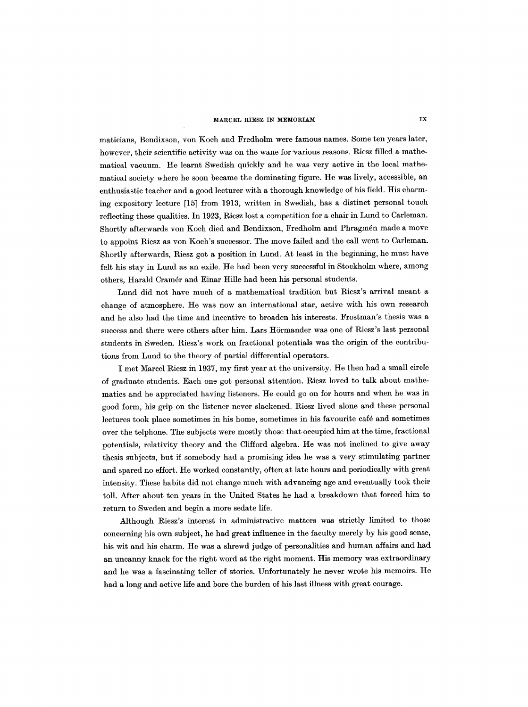#### **MARCEL RIESZ IN MEMORIAM** IX

maticians, Bendixson, yon Koch and Fredholm were famous names. Some ten years later, however, their scientific activity was on the wane for various reasons. Riesz filled a mathematical vacuum. He learnt Swedish quickly and he was very active in the local mathematical society where he soon became the dominating figure. He was lively, accessible, an enthusiastic teacher and a good lecturer with a thorough knowledge of his field. His charming expository lecture [15] from 1913, written in Swedish, has a distinct personal touch reflecting these qualities. In 1923, Riesz lost a competition for a chair in Lund to Carleman. Shortly afterwards yon Koch died and Bendixson, Fredholm and Phragmén made a move to appoint Riesz as yon Koch's successor. The move failed and the call went to Carleman. Shortly afterwards, Riesz got a position in Lund. At least in the beginning, he must have felt his stay in Lund as an exile. He had been very successful in Stockholm where, among others, Harald Cramér and Einar Hille had been his personal students.

Lund did not have much of a mathematical tradition but Riesz's arrival meant a change of atmosphere. He was now an international star, active with his own research and he also had the time and incentive to broaden his interests. Frostman's thesis was a success and there were others after him. Lars Hörmander was one of Riesz's last personal students in Sweden. Riesz's work on fractional potentials was the origin of the contributions from Lund to the theory of partial differential operators.

I met Marcel Riesz in 1937, my first year at the university. He then had a small circle of graduate students. Each one got personal attention. Riesz loved to talk about mathematics and he appreciated having listeners. He could go on for hours and when he was in good form, his grip on the listener never slackened. Riesz lived alone and these personal lectures took place sometimes in his home, sometimes in his favourite café and sometimes over the telphone. The subjects were mostly those that occupied him at the time, fractional potentials, relativity theory and the Clifford algebra. He was not inclined to give away thesis subjects, but if somebody had a promising idea he was a very stimulating partner and spared no effort. He worked constantly, often at late hours and periodically with great intensity. These habits did not change much with advancing age and eventually took their toll. After about ten years in the United States he had a breakdown that forced him to return to Sweden and begin a more sedate life.

Although Riesz's interest in administrative matters was strictly limited to those concerning his own subject, he had great influence in the faculty merely by his good sense, his wit and his charm. He was a shrewd judge of personalities and human affairs and had an uncanny knack for the right word at the right moment. His memory was extraordinary and he was a fascinating teller of stories. Unfortunately he never wrote his memoirs. He had a long and active life and bore the burden of his last illness with great courage.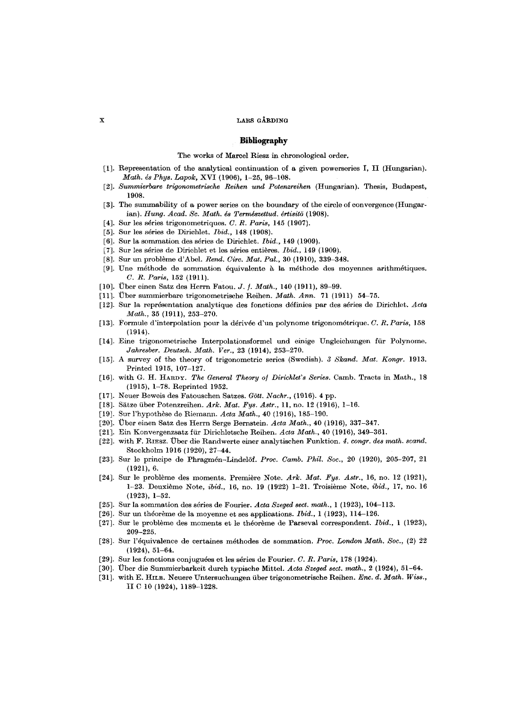#### **x** LARS GÅRDING

### **Bibliography**

#### The works of Marcel Riesz in chronological order.

- [t]. Representation of the analytical continuation of a given powerseries I, II (Hungarian). *Math. ds Phys. Lapok,* XVI (1906), 1-25, 96-108.
- [2]. *Summierbare trigonometrische Reihen und Potenzreihen* (Hungarian). Thesis, Budapest, 1908.
- [3]. The summability of a power series on the boundary of the circle of convergence (Hungarian). *Hung. Acad. Sc. Math. és Természettud. értisitő* (1908).
- [4]. Sur les séries trigonometriques. *C. R. Paris*, 145 (1907).
- [5]. Sur les séries de Dirichlet. *Ibid.*, 148 (1908).
- [6]. Sur la sommation des séries de Dirichlet. *Ibid.*, 149 (1909).
- [7]. Sur les séries de Dirichlet et les séries entières. *Ibid.*, 149 (1909).
- [8]. Sur un problème d'Abel. *Rend. Circ. Mat. Pal.*, 30 (1910), 339-348.
- [9]. Une méthode de sommation équivalente à la méthode des moyennes arithmétiques. *C. R. Paris,* 152 (1911).
- [10]. Uber einen Satz des Hcrrn Fatou. *J. ]. Math.,* 140 (1911), 89-99.
- [11]. ~ber summierbare trigonometrische Reihen. *Math. Ann.* 71 (1911) 54-75.
- [12]. Sur la repr6sentation analytique des fonctions d6finies par des s6ries de Dirichlet. *Acta Math.,* 35 (1911), 253-270.
- [13]. Formule d'interpolation pour la d6riv6e d'un polynome trigonom6trique. *C. R. Paris,* 158 (1914).
- [14]. Eine trigonometrische Interpolationsformel und einige Ungleichungen ffir Polynome. *Jahresber. Deutsch. Math. Ver.,* 23 (1914), 253-270.
- [15]. A survey of the theory of trigonometric series (Swedish). *3 Skand. Mat. Kongr.* 1913. Printed 1915, 107-127.
- [16]. with G. H. HARDY. *The General Theory of Dirichlet's Series*. Camb. Tracts in Math., 18 (1915), 1-78. Reprinted 1952.
- [17]. Neuer Beweis des Fatouschen Satzes. *G6tt. Nachr.,* (1916). 4 pp.
- [18]. Sätze über Potenzreihen. Ark. Mat. Fys. Astr., 11, no. 12 (1916), 1-16.
- [19]. Sur l'hypothèse de Riemann. *Acta Math.*, 40 (1916), 185-190.
- [20]. Uber einen Satz des Herrn Serge Bernstein. *Acta Math.,* 40 (1916), 337-347.
- [21]. Ein Konvergenzsatz ffir Diriehletsche Reihen. *Acta Math.,* 40 (1916), 349-361.
- [22]. with F. RIESZ. Uber die Randwerte einer analytischen Funktion. *4. congr, des math. scand.*  Stockholm 1916 (1920), 27-44.
- [23]. Sur le principe de Phragm6n-Lindel6f. *Proc. Camb. Phil. Soc.,* 20 {1920), 205-207, 21 (1921), 6.
- [24]. Sur le problème des moments. Première Note. Ark. Mat. Fys. Astr., 16, no. 12 (1921), 1-23. Deuxième Note, *ibid.*, 16, no. 19 (1922) 1-21. Troisième Note, *ibid.*, 17, no. 16 (1923), 1-52.
- [25]. Sur la sommation des séries de Fourier. Acta Szeged sect. math., 1 (1923), 104-113.
- [26]. Sur un théorème de la moyenne et ses applications. *Ibid.*, 1 (1923), 114-126.
- [27]. Sur le problème des moments et le théorème de Parseval correspondent. *Ibid.*, 1 (1923), 209-225.
- [28]. Sur l'dquivalence de certaines m6thodes de sommation. *Proc. London Math. Soc.,* (2) 22 (1924), 51-64.
- [29]. Sur les fonctions conjugu6es et les s6ries de Fourier. *C. R. Paris,* 178 (1924).
- [30]. ~ber die Summierbarkeit durch typische Mittel. *Aeta Szeged sect. math.,* 2 (1924), 51-64.
- [31]. with E. HrLB. Neuerc Untersuchungen fiber trigonometrische Reihen. *Enc. d. Math. Wiss.,*  II C 10 (1924), 1189-1228.